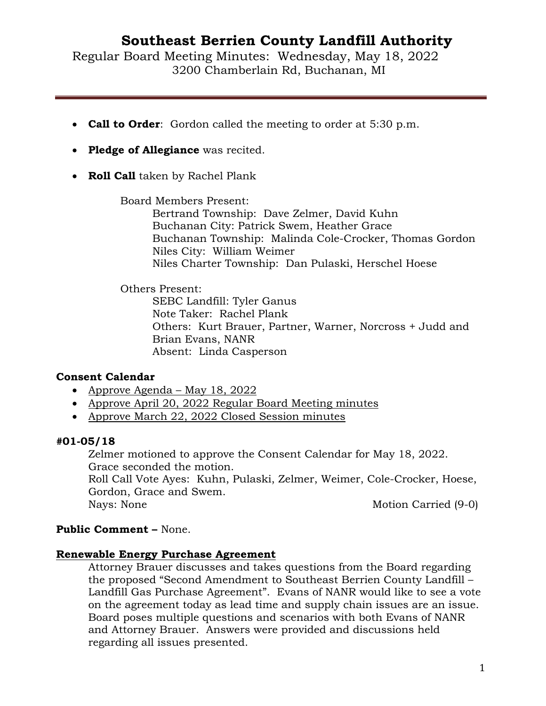Regular Board Meeting Minutes: Wednesday, May 18, 2022 3200 Chamberlain Rd, Buchanan, MI

- **Call to Order**: Gordon called the meeting to order at 5:30 p.m.
- **Pledge of Allegiance** was recited.
- **Roll Call** taken by Rachel Plank

Board Members Present:

Bertrand Township: Dave Zelmer, David Kuhn Buchanan City: Patrick Swem, Heather Grace Buchanan Township: Malinda Cole-Crocker, Thomas Gordon Niles City: William Weimer Niles Charter Township: Dan Pulaski, Herschel Hoese

## Others Present:

SEBC Landfill: Tyler Ganus Note Taker: Rachel Plank Others: Kurt Brauer, Partner, Warner, Norcross + Judd and Brian Evans, NANR Absent: Linda Casperson

## **Consent Calendar**

- Approve Agenda May 18, 2022
- Approve April 20, 2022 Regular Board Meeting minutes
- Approve March 22, 2022 Closed Session minutes

## **#01-05/18**

Zelmer motioned to approve the Consent Calendar for May 18, 2022. Grace seconded the motion. Roll Call Vote Ayes: Kuhn, Pulaski, Zelmer, Weimer, Cole-Crocker, Hoese, Gordon, Grace and Swem.

Nays: None Motion Carried (9-0)

## **Public Comment –** None.

## **Renewable Energy Purchase Agreement**

Attorney Brauer discusses and takes questions from the Board regarding the proposed "Second Amendment to Southeast Berrien County Landfill – Landfill Gas Purchase Agreement". Evans of NANR would like to see a vote on the agreement today as lead time and supply chain issues are an issue. Board poses multiple questions and scenarios with both Evans of NANR and Attorney Brauer. Answers were provided and discussions held regarding all issues presented.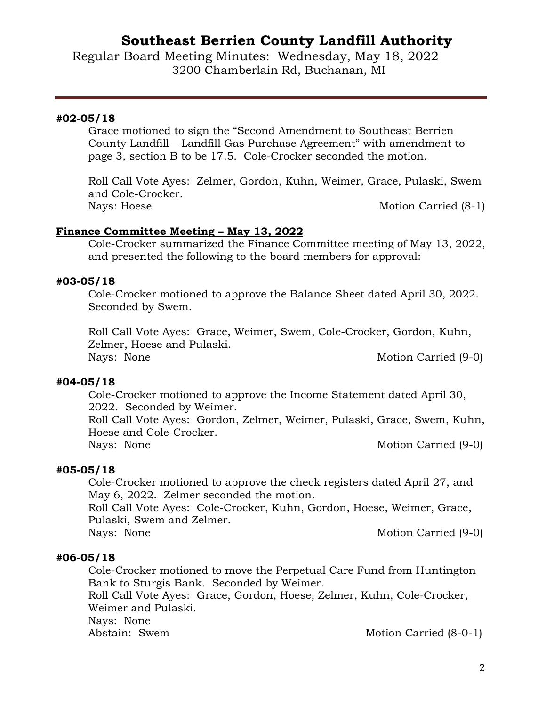Regular Board Meeting Minutes: Wednesday, May 18, 2022 3200 Chamberlain Rd, Buchanan, MI

#### **#02-05/18**

Grace motioned to sign the "Second Amendment to Southeast Berrien County Landfill – Landfill Gas Purchase Agreement" with amendment to page 3, section B to be 17.5. Cole-Crocker seconded the motion.

Roll Call Vote Ayes: Zelmer, Gordon, Kuhn, Weimer, Grace, Pulaski, Swem and Cole-Crocker. Nays: Hoese Motion Carried (8-1)

#### **Finance Committee Meeting – May 13, 2022**

Cole-Crocker summarized the Finance Committee meeting of May 13, 2022, and presented the following to the board members for approval:

#### **#03-05/18**

Cole-Crocker motioned to approve the Balance Sheet dated April 30, 2022. Seconded by Swem.

Roll Call Vote Ayes: Grace, Weimer, Swem, Cole-Crocker, Gordon, Kuhn, Zelmer, Hoese and Pulaski. Nays: None Motion Carried (9-0)

**#04-05/18** Cole-Crocker motioned to approve the Income Statement dated April 30, 2022. Seconded by Weimer.

Roll Call Vote Ayes: Gordon, Zelmer, Weimer, Pulaski, Grace, Swem, Kuhn, Hoese and Cole-Crocker.

Nays: None Motion Carried (9-0)

#### **#05-05/18**

Cole-Crocker motioned to approve the check registers dated April 27, and May 6, 2022. Zelmer seconded the motion.

Roll Call Vote Ayes: Cole-Crocker, Kuhn, Gordon, Hoese, Weimer, Grace, Pulaski, Swem and Zelmer.

Nays: None Motion Carried (9-0)

#### **#06-05/18**

Cole-Crocker motioned to move the Perpetual Care Fund from Huntington Bank to Sturgis Bank. Seconded by Weimer.

Roll Call Vote Ayes: Grace, Gordon, Hoese, Zelmer, Kuhn, Cole-Crocker, Weimer and Pulaski.

Nays: None<br>Abstain: Swem

Motion Carried (8-0-1)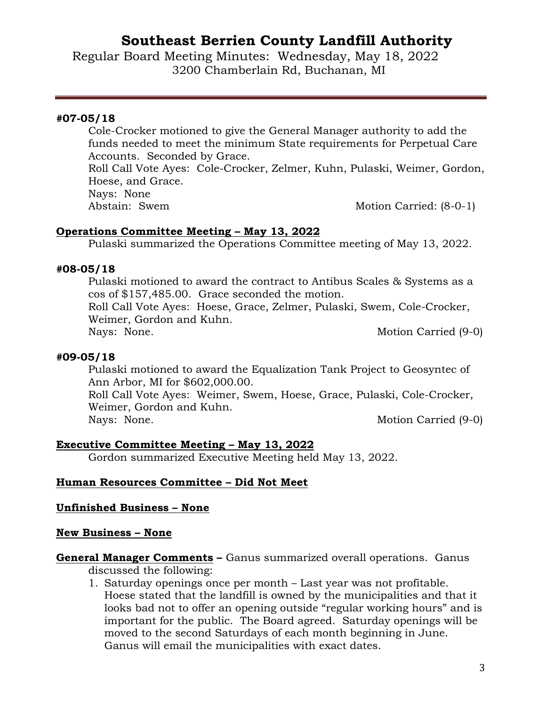Regular Board Meeting Minutes: Wednesday, May 18, 2022 3200 Chamberlain Rd, Buchanan, MI

#### **#07-05/18**

Cole-Crocker motioned to give the General Manager authority to add the funds needed to meet the minimum State requirements for Perpetual Care Accounts. Seconded by Grace.

Roll Call Vote Ayes: Cole-Crocker, Zelmer, Kuhn, Pulaski, Weimer, Gordon, Hoese, and Grace.

Nays: None<br>Abstain: Swem

Motion Carried:  $(8-0-1)$ 

## **Operations Committee Meeting – May 13, 2022**

Pulaski summarized the Operations Committee meeting of May 13, 2022.

## **#08-05/18**

Pulaski motioned to award the contract to Antibus Scales & Systems as a cos of \$157,485.00. Grace seconded the motion. Roll Call Vote Ayes: Hoese, Grace, Zelmer, Pulaski, Swem, Cole-Crocker, Weimer, Gordon and Kuhn. Nays: None. Motion Carried (9-0)

#### **#09-05/18**

Pulaski motioned to award the Equalization Tank Project to Geosyntec of Ann Arbor, MI for \$602,000.00.

Roll Call Vote Ayes: Weimer, Swem, Hoese, Grace, Pulaski, Cole-Crocker, Weimer, Gordon and Kuhn.

Nays: None. Motion Carried (9-0)

## **Executive Committee Meeting – May 13, 2022**

Gordon summarized Executive Meeting held May 13, 2022.

## **Human Resources Committee – Did Not Meet**

#### **Unfinished Business – None**

#### **New Business – None**

## **General Manager Comments –** Ganus summarized overall operations. Ganus

discussed the following:

1. Saturday openings once per month – Last year was not profitable. Hoese stated that the landfill is owned by the municipalities and that it looks bad not to offer an opening outside "regular working hours" and is important for the public. The Board agreed. Saturday openings will be moved to the second Saturdays of each month beginning in June. Ganus will email the municipalities with exact dates.